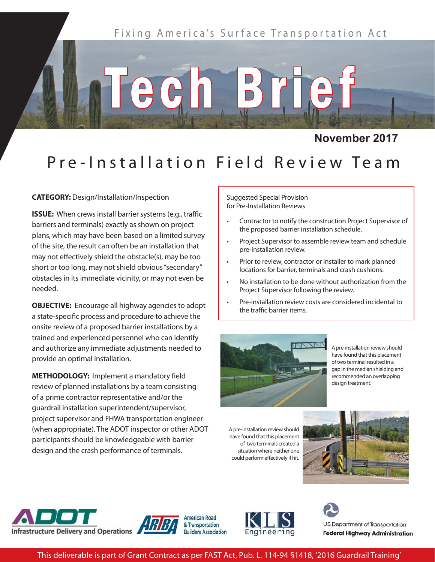

**November 2017**

## Pre-Installation Field Review Team

Tegh Brief

**CATEGORY:** Design/Installation/Inspection

**ISSUE:** When crews install barrier systems (e.g., traffic barriers and terminals) exactly as shown on project plans, which may have been based on a limited survey of the site, the result can often be an installation that may not effectively shield the obstacle(s), may be too short or too long, may not shield obvious "secondary" obstacles in its immediate vicinity, or may not even be needed.

**OBJECTIVE:** Encourage all highway agencies to adopt a state-specific process and procedure to achieve the onsite review of a proposed barrier installations by a trained and experienced personnel who can identify and authorize any immediate adjustments needed to provide an optimal installation.

**METHODOLOGY: Implement a mandatory field** review of planned installations by a team consisting of a prime contractor representative and/or the guardrail installation superintendent/supervisor, project supervisor and FHWA transportation engineer (when appropriate). The ADOT inspector or other ADOT participants should be knowledgeable with barrier design and the crash performance of terminals.

Suggested Special Provision for Pre-Installation Reviews

- Contractor to notify the construction Project Supervisor of the proposed barrier installation schedule.
- Project Supervisor to assemble review team and schedule pre-installation review.
- Prior to review, contractor or installer to mark planned locations for barrier, terminals and crash cushions.
- No installation to be done without authorization from the Project Supervisor following the review.
- Pre-installation review costs are considered incidental to the traffic barrier items.



A pre-installation review should have found that this placement of two terminal resulted in a gap in the median shielding and recommended an overlapping design treatment.

A pre-installation review should have found that this placement of two terminals created a situation where neither one could perform effectively if hit.











This deliverable is part of Grant Contract as per FAST Act, Pub. L. 114-94 §1418, '2016 Guardrail Training'